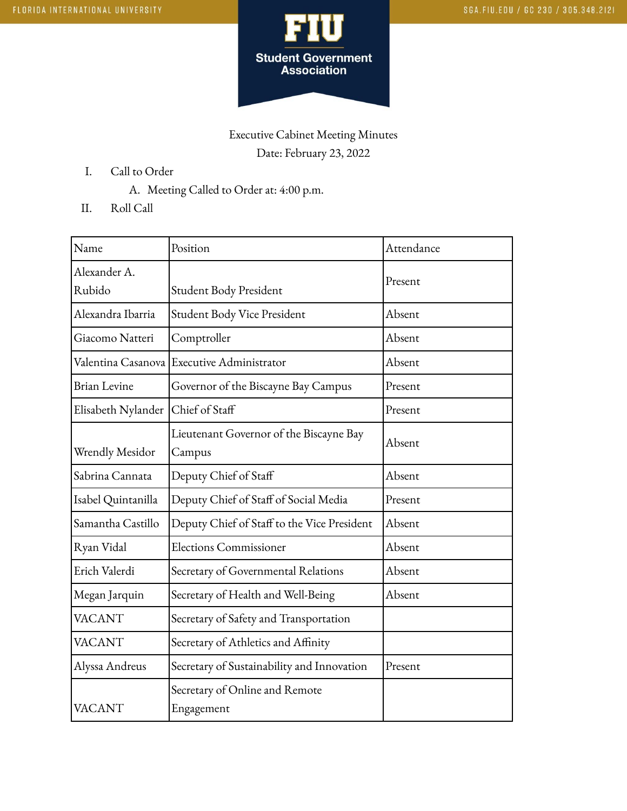

## Executive Cabinet Meeting Minutes Date: February 23, 2022

- I. Call to Order
	- A. Meeting Called to Order at: 4:00 p.m.
- II. Roll Call

| Name                | Position                                     | Attendance |
|---------------------|----------------------------------------------|------------|
| Alexander A.        |                                              | Present    |
| Rubido              | Student Body President                       |            |
| Alexandra Ibarria   | Student Body Vice President                  | Absent     |
| Giacomo Natteri     | Comptroller                                  | Absent     |
|                     | Valentina Casanova Executive Administrator   | Absent     |
| <b>Brian Levine</b> | Governor of the Biscayne Bay Campus          | Present    |
| Elisabeth Nylander  | Chief of Staff                               | Present    |
|                     | Lieutenant Governor of the Biscayne Bay      | Absent     |
| Wrendly Mesidor     | Campus                                       |            |
| Sabrina Cannata     | Deputy Chief of Staff                        | Absent     |
| Isabel Quintanilla  | Deputy Chief of Staff of Social Media        | Present    |
| Samantha Castillo   | Deputy Chief of Staff to the Vice President  | Absent     |
| Ryan Vidal          | <b>Elections Commissioner</b>                | Absent     |
| Erich Valerdi       | Secretary of Governmental Relations          | Absent     |
| Megan Jarquin       | Secretary of Health and Well-Being           | Absent     |
| <b>VACANT</b>       | Secretary of Safety and Transportation       |            |
| <b>VACANT</b>       | Secretary of Athletics and Affinity          |            |
| Alyssa Andreus      | Secretary of Sustainability and Innovation   | Present    |
| <b>VACANT</b>       | Secretary of Online and Remote<br>Engagement |            |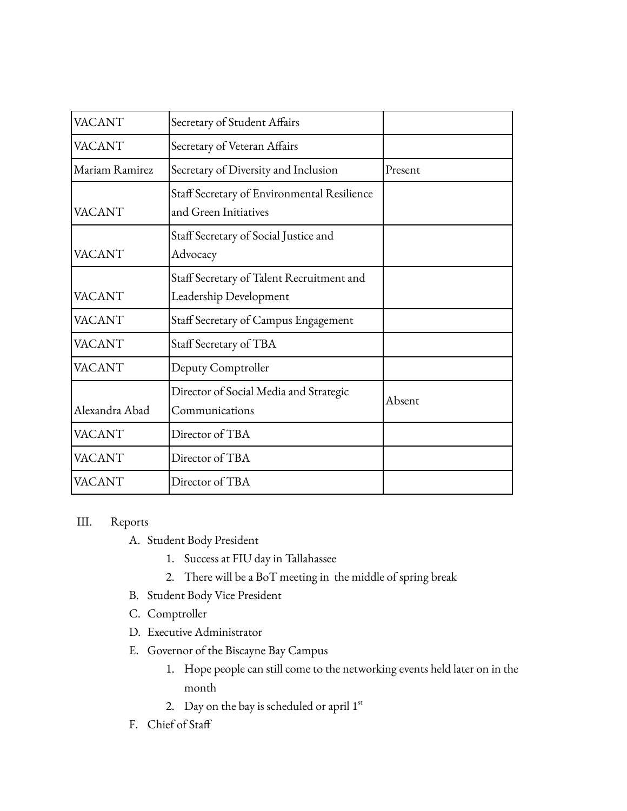| <b>VACANT</b>  | Secretary of Student Affairs                                         |         |
|----------------|----------------------------------------------------------------------|---------|
| VACANT         | Secretary of Veteran Affairs                                         |         |
| Mariam Ramirez | Secretary of Diversity and Inclusion                                 | Present |
| <b>VACANT</b>  | Staff Secretary of Environmental Resilience<br>and Green Initiatives |         |
| VACANT         | Staff Secretary of Social Justice and<br>Advocacy                    |         |
| <b>VACANT</b>  | Staff Secretary of Talent Recruitment and<br>Leadership Development  |         |
| <b>VACANT</b>  | Staff Secretary of Campus Engagement                                 |         |
| VACANT         | Staff Secretary of TBA                                               |         |
| <b>VACANT</b>  | Deputy Comptroller                                                   |         |
| Alexandra Abad | Director of Social Media and Strategic<br>Communications             | Absent  |
| VACANT         | Director of TBA                                                      |         |
| VACANT         | Director of TBA                                                      |         |
| VACANT         | Director of TBA                                                      |         |

## III. Reports

- A. Student Body President
	- 1. Success at FIU day in Tallahassee
	- 2. There will be a BoT meeting in the middle of spring break
- B. Student Body Vice President
- C. Comptroller
- D. Executive Administrator
- E. Governor of the Biscayne Bay Campus
	- 1. Hope people can still come to the networking events held later on in the month
	- 2. Day on the bay is scheduled or april  $1<sup>st</sup>$
- F. Chief of Staff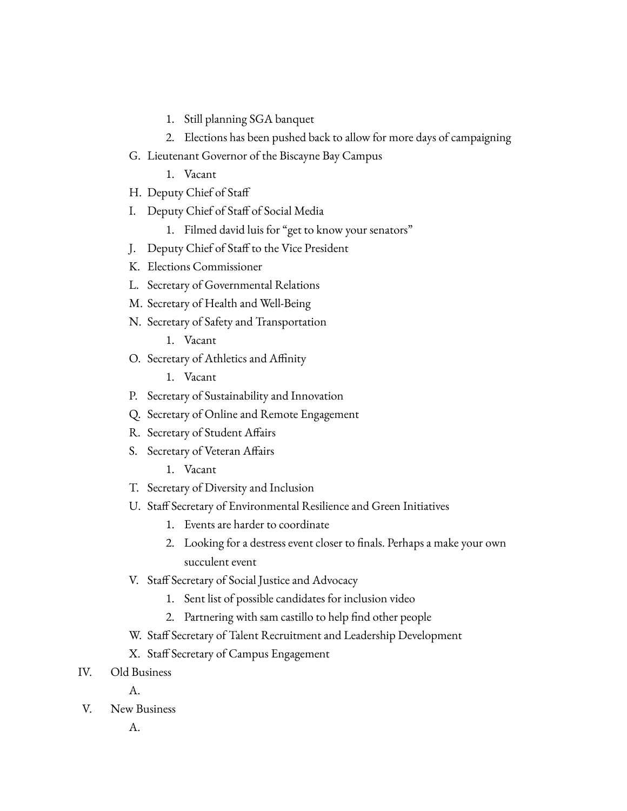- 1. Still planning SGA banquet
- 2. Elections has been pushed back to allow for more days of campaigning
- G. Lieutenant Governor of the Biscayne Bay Campus
	- 1. Vacant
- H. Deputy Chief of Staff
- I. Deputy Chief of Staff of Social Media
	- 1. Filmed david luis for "get to know your senators"
- J. Deputy Chief of Staff to the Vice President
- K. Elections Commissioner
- L. Secretary of Governmental Relations
- M. Secretary of Health and Well-Being
- N. Secretary of Safety and Transportation
	- 1. Vacant
- O. Secretary of Athletics and Affinity
	- 1. Vacant
- P. Secretary of Sustainability and Innovation
- Q. Secretary of Online and Remote Engagement
- R. Secretary of Student Affairs
- S. Secretary of Veteran Affairs
	- 1. Vacant
- T. Secretary of Diversity and Inclusion
- U. Staff Secretary of Environmental Resilience and Green Initiatives
	- 1. Events are harder to coordinate
	- 2. Looking for a destress event closer to finals. Perhaps a make your own succulent event
- V. Staff Secretary of Social Justice and Advocacy
	- 1. Sent list of possible candidates for inclusion video
	- 2. Partnering with sam castillo to help find other people
- W. Staff Secretary of Talent Recruitment and Leadership Development
- X. Staff Secretary of Campus Engagement
- IV. Old Business

A.

- V. New Business
	- A.